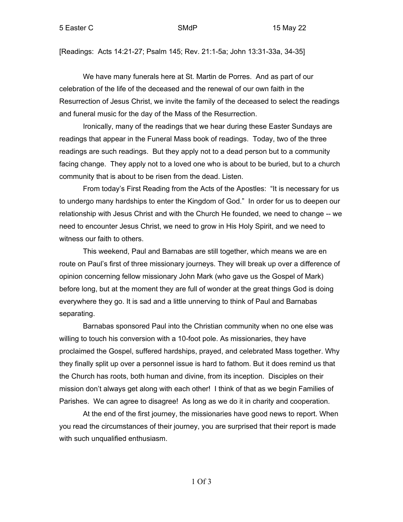[Readings: Acts 14:21-27; Psalm 145; Rev. 21:1-5a; John 13:31-33a, 34-35]

We have many funerals here at St. Martin de Porres. And as part of our celebration of the life of the deceased and the renewal of our own faith in the Resurrection of Jesus Christ, we invite the family of the deceased to select the readings and funeral music for the day of the Mass of the Resurrection.

Ironically, many of the readings that we hear during these Easter Sundays are readings that appear in the Funeral Mass book of readings. Today, two of the three readings are such readings. But they apply not to a dead person but to a community facing change. They apply not to a loved one who is about to be buried, but to a church community that is about to be risen from the dead. Listen.

From today's First Reading from the Acts of the Apostles: "It is necessary for us to undergo many hardships to enter the Kingdom of God." In order for us to deepen our relationship with Jesus Christ and with the Church He founded, we need to change -- we need to encounter Jesus Christ, we need to grow in His Holy Spirit, and we need to witness our faith to others.

This weekend, Paul and Barnabas are still together, which means we are en route on Paul's first of three missionary journeys. They will break up over a difference of opinion concerning fellow missionary John Mark (who gave us the Gospel of Mark) before long, but at the moment they are full of wonder at the great things God is doing everywhere they go. It is sad and a little unnerving to think of Paul and Barnabas separating.

Barnabas sponsored Paul into the Christian community when no one else was willing to touch his conversion with a 10-foot pole. As missionaries, they have proclaimed the Gospel, suffered hardships, prayed, and celebrated Mass together. Why they finally split up over a personnel issue is hard to fathom. But it does remind us that the Church has roots, both human and divine, from its inception. Disciples on their mission don't always get along with each other! I think of that as we begin Families of Parishes. We can agree to disagree! As long as we do it in charity and cooperation.

At the end of the first journey, the missionaries have good news to report. When you read the circumstances of their journey, you are surprised that their report is made with such unqualified enthusiasm.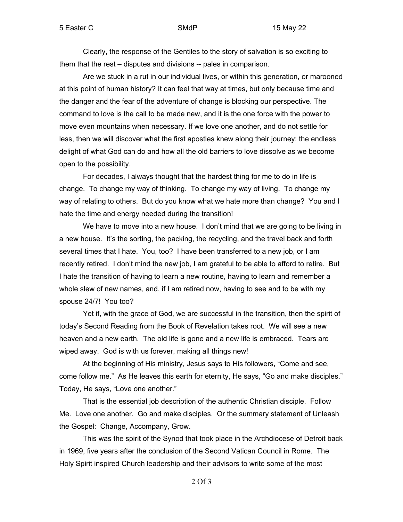Clearly, the response of the Gentiles to the story of salvation is so exciting to them that the rest – disputes and divisions -- pales in comparison.

Are we stuck in a rut in our individual lives, or within this generation, or marooned at this point of human history? It can feel that way at times, but only because time and the danger and the fear of the adventure of change is blocking our perspective. The command to love is the call to be made new, and it is the one force with the power to move even mountains when necessary. If we love one another, and do not settle for less, then we will discover what the first apostles knew along their journey: the endless delight of what God can do and how all the old barriers to love dissolve as we become open to the possibility.

For decades, I always thought that the hardest thing for me to do in life is change. To change my way of thinking. To change my way of living. To change my way of relating to others. But do you know what we hate more than change? You and I hate the time and energy needed during the transition!

We have to move into a new house. I don't mind that we are going to be living in a new house. It's the sorting, the packing, the recycling, and the travel back and forth several times that I hate. You, too? I have been transferred to a new job, or I am recently retired. I don't mind the new job, I am grateful to be able to afford to retire. But I hate the transition of having to learn a new routine, having to learn and remember a whole slew of new names, and, if I am retired now, having to see and to be with my spouse 24/7! You too?

Yet if, with the grace of God, we are successful in the transition, then the spirit of today's Second Reading from the Book of Revelation takes root. We will see a new heaven and a new earth. The old life is gone and a new life is embraced. Tears are wiped away. God is with us forever, making all things new!

At the beginning of His ministry, Jesus says to His followers, "Come and see, come follow me." As He leaves this earth for eternity, He says, "Go and make disciples." Today, He says, "Love one another."

That is the essential job description of the authentic Christian disciple. Follow Me. Love one another. Go and make disciples. Or the summary statement of Unleash the Gospel: Change, Accompany, Grow.

This was the spirit of the Synod that took place in the Archdiocese of Detroit back in 1969, five years after the conclusion of the Second Vatican Council in Rome. The Holy Spirit inspired Church leadership and their advisors to write some of the most

2 Of 3